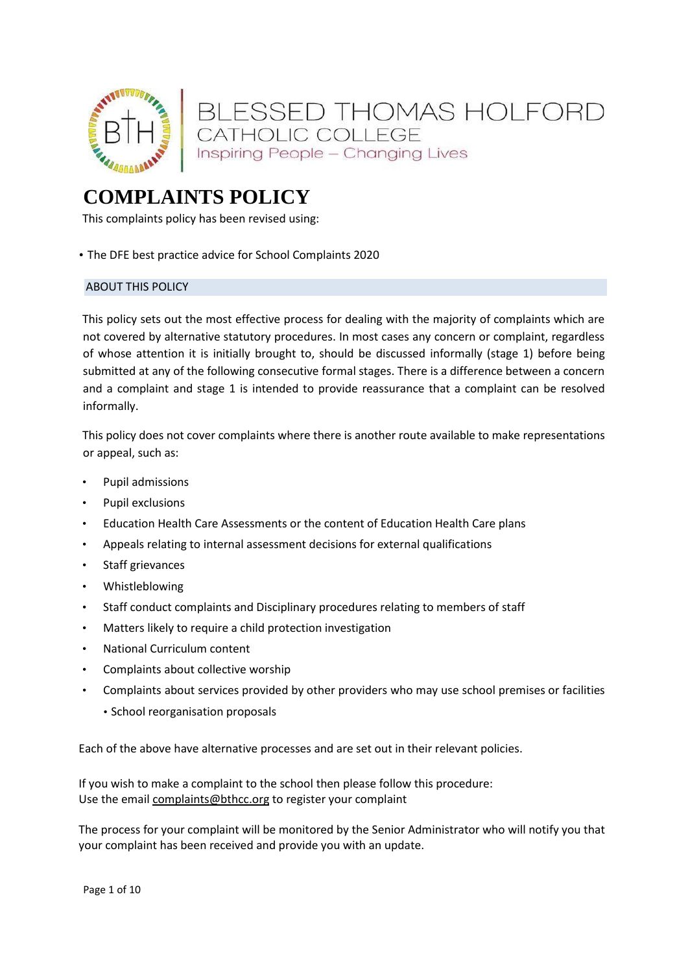

# **COMPLAINTS POLICY**

This complaints policy has been revised using:

• The DFE best practice advice for School Complaints 2020

# ABOUT THIS POLICY

This policy sets out the most effective process for dealing with the majority of complaints which are not covered by alternative statutory procedures. In most cases any concern or complaint, regardless of whose attention it is initially brought to, should be discussed informally (stage 1) before being submitted at any of the following consecutive formal stages. There is a difference between a concern and a complaint and stage 1 is intended to provide reassurance that a complaint can be resolved informally.

This policy does not cover complaints where there is another route available to make representations or appeal, such as:

- Pupil admissions
- Pupil exclusions
- Education Health Care Assessments or the content of Education Health Care plans
- Appeals relating to internal assessment decisions for external qualifications
- Staff grievances
- Whistleblowing
- Staff conduct complaints and Disciplinary procedures relating to members of staff
- Matters likely to require a child protection investigation
- National Curriculum content
- Complaints about collective worship
- Complaints about services provided by other providers who may use school premises or facilities
	- School reorganisation proposals

Each of the above have alternative processes and are set out in their relevant policies.

If you wish to make a complaint to the school then please follow this procedure: Use the email [complaints@bthcc.org](mailto:complaints@bthcc.org) to register your complaint

The process for your complaint will be monitored by the Senior Administrator who will notify you that your complaint has been received and provide you with an update.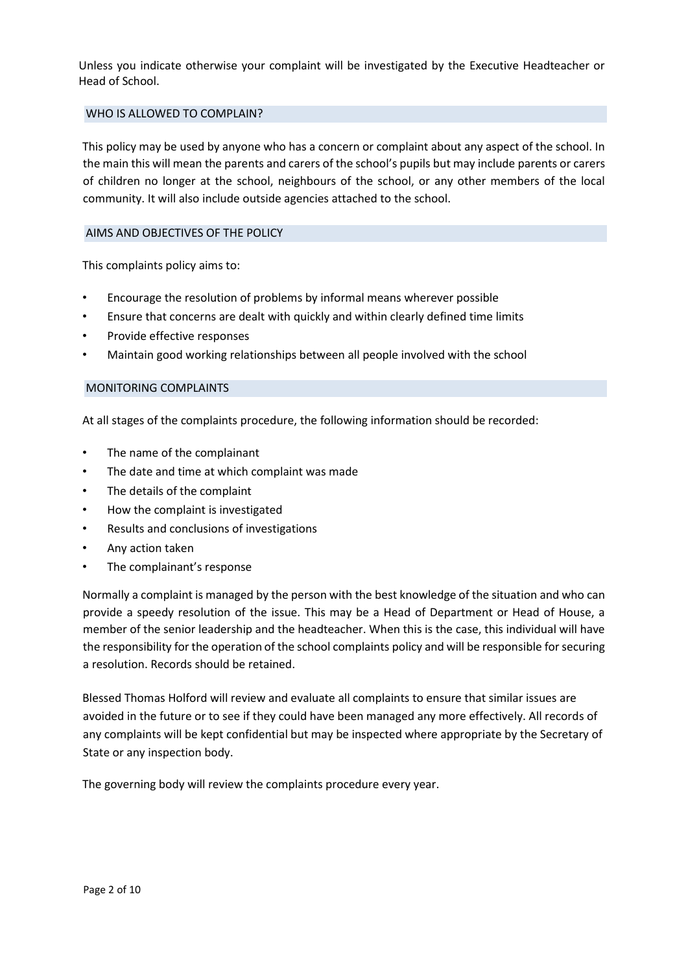Unless you indicate otherwise your complaint will be investigated by the Executive Headteacher or Head of School.

## WHO IS ALLOWED TO COMPLAIN?

This policy may be used by anyone who has a concern or complaint about any aspect of the school. In the main this will mean the parents and carers of the school's pupils but may include parents or carers of children no longer at the school, neighbours of the school, or any other members of the local community. It will also include outside agencies attached to the school.

#### AIMS AND OBJECTIVES OF THE POLICY

This complaints policy aims to:

- Encourage the resolution of problems by informal means wherever possible
- Ensure that concerns are dealt with quickly and within clearly defined time limits
- Provide effective responses
- Maintain good working relationships between all people involved with the school

#### MONITORING COMPLAINTS

At all stages of the complaints procedure, the following information should be recorded:

- The name of the complainant
- The date and time at which complaint was made
- The details of the complaint
- How the complaint is investigated
- Results and conclusions of investigations
- Any action taken
- The complainant's response

Normally a complaint is managed by the person with the best knowledge of the situation and who can provide a speedy resolution of the issue. This may be a Head of Department or Head of House, a member of the senior leadership and the headteacher. When this is the case, this individual will have the responsibility for the operation of the school complaints policy and will be responsible for securing a resolution. Records should be retained.

Blessed Thomas Holford will review and evaluate all complaints to ensure that similar issues are avoided in the future or to see if they could have been managed any more effectively. All records of any complaints will be kept confidential but may be inspected where appropriate by the Secretary of State or any inspection body.

The governing body will review the complaints procedure every year.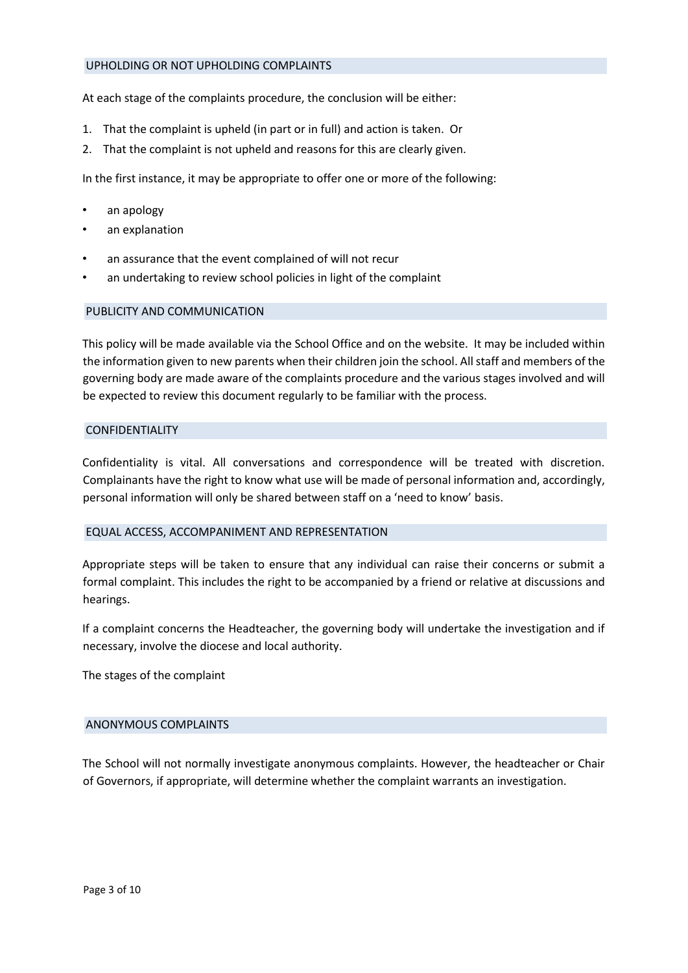#### UPHOLDING OR NOT UPHOLDING COMPLAINTS

At each stage of the complaints procedure, the conclusion will be either:

- 1. That the complaint is upheld (in part or in full) and action is taken. Or
- 2. That the complaint is not upheld and reasons for this are clearly given.

In the first instance, it may be appropriate to offer one or more of the following:

- an apology
- an explanation
- an assurance that the event complained of will not recur
- an undertaking to review school policies in light of the complaint

## PUBLICITY AND COMMUNICATION

This policy will be made available via the School Office and on the website. It may be included within the information given to new parents when their children join the school. All staff and members of the governing body are made aware of the complaints procedure and the various stages involved and will be expected to review this document regularly to be familiar with the process.

#### CONFIDENTIALITY

Confidentiality is vital. All conversations and correspondence will be treated with discretion. Complainants have the right to know what use will be made of personal information and, accordingly, personal information will only be shared between staff on a 'need to know' basis.

#### EQUAL ACCESS, ACCOMPANIMENT AND REPRESENTATION

Appropriate steps will be taken to ensure that any individual can raise their concerns or submit a formal complaint. This includes the right to be accompanied by a friend or relative at discussions and hearings.

If a complaint concerns the Headteacher, the governing body will undertake the investigation and if necessary, involve the diocese and local authority.

The stages of the complaint

#### ANONYMOUS COMPLAINTS

The School will not normally investigate anonymous complaints. However, the headteacher or Chair of Governors, if appropriate, will determine whether the complaint warrants an investigation.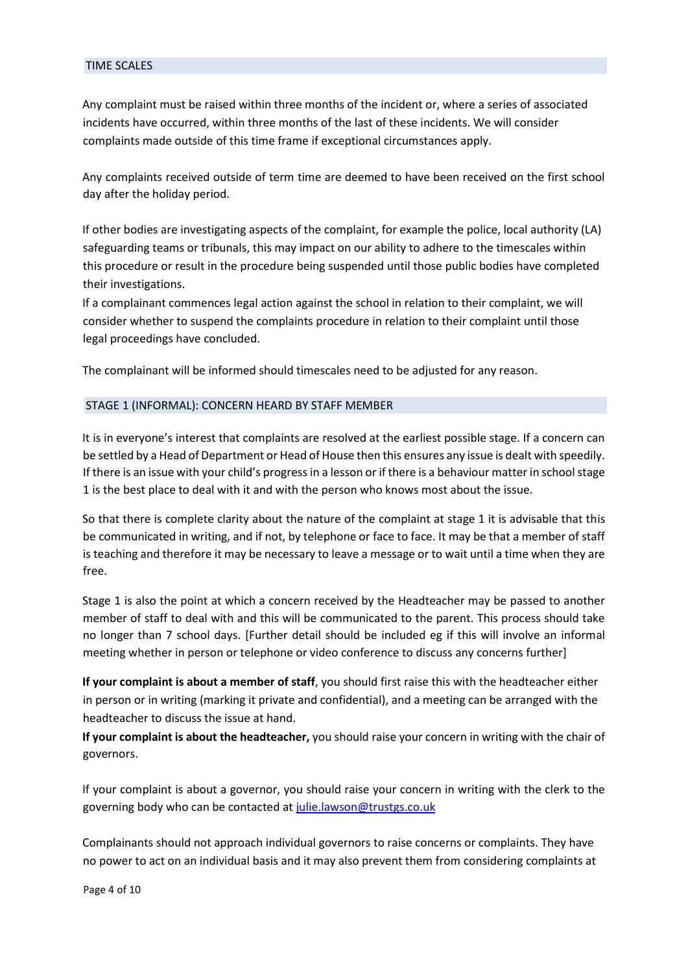#### TIME SCALES

Any complaint must be raised within three months of the incident or, where a series of associated incidents have occurred, within three months of the last of these incidents. We will consider complaints made outside of this time frame if exceptional circumstances apply.

Any complaints received outside of term time are deemed to have been received on the first school day after the holiday period.

If other bodies are investigating aspects of the complaint, for example the police, local authority (LA) safeguarding teams or tribunals, this may impact on our ability to adhere to the timescales within this procedure or result in the procedure being suspended until those public bodies have completed their investigations.

If a complainant commences legal action against the school in relation to their complaint, we will consider whether to suspend the complaints procedure in relation to their complaint until those legal proceedings have concluded.

The complainant will be informed should timescales need to be adjusted for any reason.

## STAGE 1 (INFORMAL): CONCERN HEARD BY STAFF MEMBER

It is in everyone's interest that complaints are resolved at the earliest possible stage. If a concern can be settled by a Head of Department or Head of House then this ensures any issue is dealt with speedily. If there is an issue with your child's progress in a lesson or if there is a behaviour matter in school stage 1 is the best place to deal with it and with the person who knows most about the issue.

So that there is complete clarity about the nature of the complaint at stage 1 it is advisable that this be communicated in writing, and if not, by telephone or face to face. It may be that a member of staff is teaching and therefore it may be necessary to leave a message or to wait until a time when they are free.

Stage 1 is also the point at which a concern received by the Headteacher may be passed to another member of staff to deal with and this will be communicated to the parent. This process should take no longer than 7 school days. [Further detail should be included eg if this will involve an informal meeting whether in person or telephone or video conference to discuss any concerns further]

**If your complaint is about a member of staff**, you should first raise this with the headteacher either in person or in writing (marking it private and confidential), and a meeting can be arranged with the headteacher to discuss the issue at hand.

**If your complaint is about the headteacher,** you should raise your concern in writing with the chair of governors.

If your complaint is about a governor, you should raise your concern in writing with the clerk to the governing body who can be contacted at julie.lawson@trustgs.co.uk

Complainants should not approach individual governors to raise concerns or complaints. They have no power to act on an individual basis and it may also prevent them from considering complaints at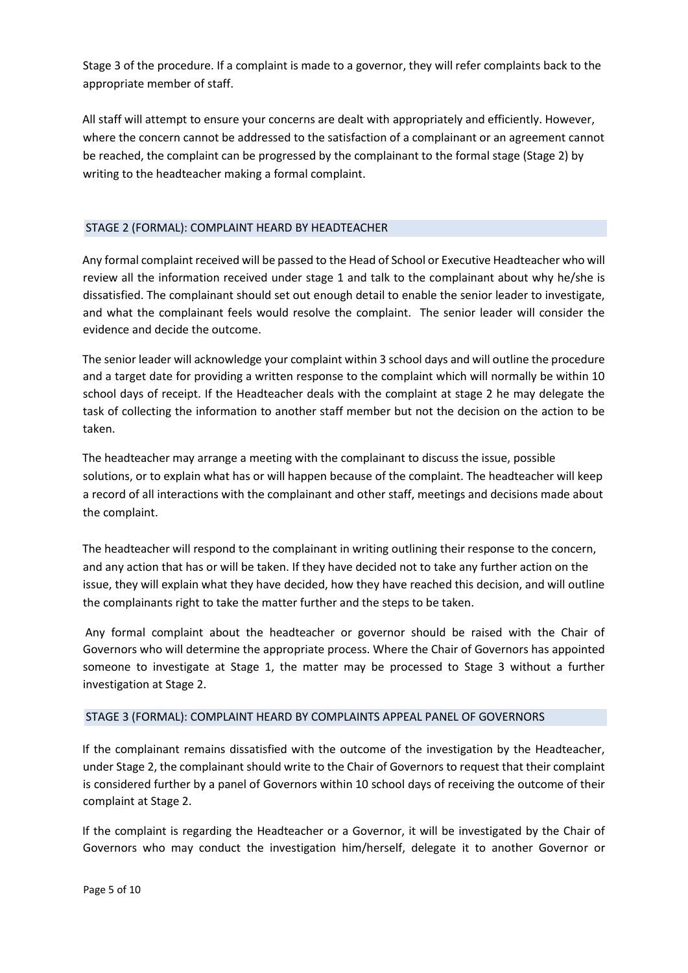Stage 3 of the procedure. If a complaint is made to a governor, they will refer complaints back to the appropriate member of staff.

All staff will attempt to ensure your concerns are dealt with appropriately and efficiently. However, where the concern cannot be addressed to the satisfaction of a complainant or an agreement cannot be reached, the complaint can be progressed by the complainant to the formal stage (Stage 2) by writing to the headteacher making a formal complaint.

# STAGE 2 (FORMAL): COMPLAINT HEARD BY HEADTEACHER

Any formal complaint received will be passed to the Head of School or Executive Headteacher who will review all the information received under stage 1 and talk to the complainant about why he/she is dissatisfied. The complainant should set out enough detail to enable the senior leader to investigate, and what the complainant feels would resolve the complaint. The senior leader will consider the evidence and decide the outcome.

The senior leader will acknowledge your complaint within 3 school days and will outline the procedure and a target date for providing a written response to the complaint which will normally be within 10 school days of receipt. If the Headteacher deals with the complaint at stage 2 he may delegate the task of collecting the information to another staff member but not the decision on the action to be taken.

The headteacher may arrange a meeting with the complainant to discuss the issue, possible solutions, or to explain what has or will happen because of the complaint. The headteacher will keep a record of all interactions with the complainant and other staff, meetings and decisions made about the complaint.

The headteacher will respond to the complainant in writing outlining their response to the concern, and any action that has or will be taken. If they have decided not to take any further action on the issue, they will explain what they have decided, how they have reached this decision, and will outline the complainants right to take the matter further and the steps to be taken.

Any formal complaint about the headteacher or governor should be raised with the Chair of Governors who will determine the appropriate process. Where the Chair of Governors has appointed someone to investigate at Stage 1, the matter may be processed to Stage 3 without a further investigation at Stage 2.

## STAGE 3 (FORMAL): COMPLAINT HEARD BY COMPLAINTS APPEAL PANEL OF GOVERNORS

If the complainant remains dissatisfied with the outcome of the investigation by the Headteacher, under Stage 2, the complainant should write to the Chair of Governors to request that their complaint is considered further by a panel of Governors within 10 school days of receiving the outcome of their complaint at Stage 2.

If the complaint is regarding the Headteacher or a Governor, it will be investigated by the Chair of Governors who may conduct the investigation him/herself, delegate it to another Governor or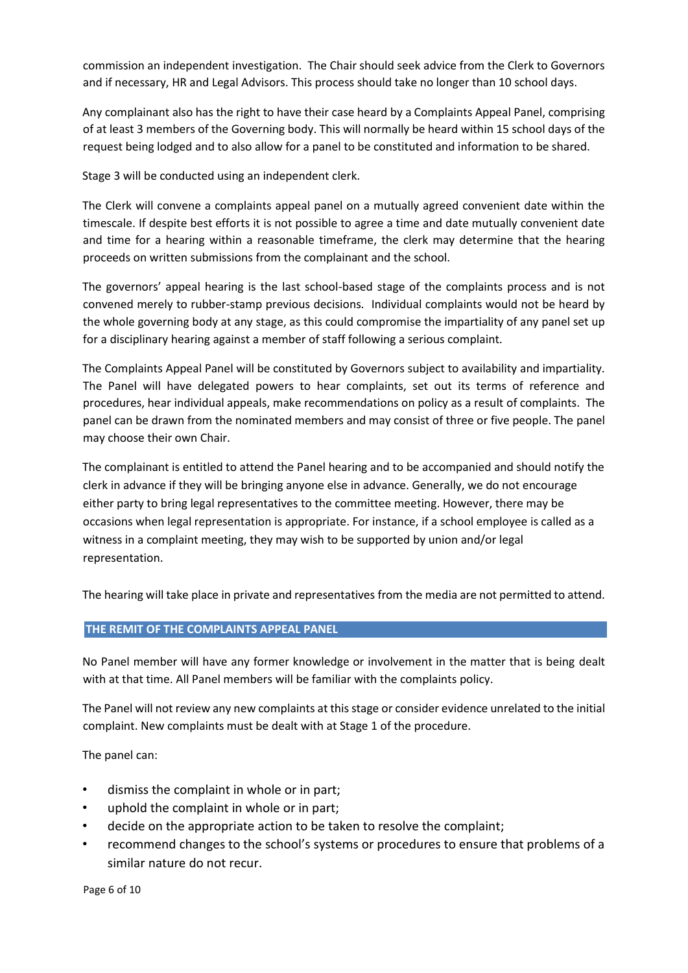commission an independent investigation. The Chair should seek advice from the Clerk to Governors and if necessary, HR and Legal Advisors. This process should take no longer than 10 school days.

Any complainant also has the right to have their case heard by a Complaints Appeal Panel, comprising of at least 3 members of the Governing body. This will normally be heard within 15 school days of the request being lodged and to also allow for a panel to be constituted and information to be shared.

Stage 3 will be conducted using an independent clerk.

The Clerk will convene a complaints appeal panel on a mutually agreed convenient date within the timescale. If despite best efforts it is not possible to agree a time and date mutually convenient date and time for a hearing within a reasonable timeframe, the clerk may determine that the hearing proceeds on written submissions from the complainant and the school.

The governors' appeal hearing is the last school-based stage of the complaints process and is not convened merely to rubber-stamp previous decisions. Individual complaints would not be heard by the whole governing body at any stage, as this could compromise the impartiality of any panel set up for a disciplinary hearing against a member of staff following a serious complaint.

The Complaints Appeal Panel will be constituted by Governors subject to availability and impartiality. The Panel will have delegated powers to hear complaints, set out its terms of reference and procedures, hear individual appeals, make recommendations on policy as a result of complaints. The panel can be drawn from the nominated members and may consist of three or five people. The panel may choose their own Chair.

The complainant is entitled to attend the Panel hearing and to be accompanied and should notify the clerk in advance if they will be bringing anyone else in advance. Generally, we do not encourage either party to bring legal representatives to the committee meeting. However, there may be occasions when legal representation is appropriate. For instance, if a school employee is called as a witness in a complaint meeting, they may wish to be supported by union and/or legal representation.

The hearing will take place in private and representatives from the media are not permitted to attend.

## **THE REMIT OF THE COMPLAINTS APPEAL PANEL**

No Panel member will have any former knowledge or involvement in the matter that is being dealt with at that time. All Panel members will be familiar with the complaints policy.

The Panel will not review any new complaints at this stage or consider evidence unrelated to the initial complaint. New complaints must be dealt with at Stage 1 of the procedure.

The panel can:

- dismiss the complaint in whole or in part;
- uphold the complaint in whole or in part;
- decide on the appropriate action to be taken to resolve the complaint;
- recommend changes to the school's systems or procedures to ensure that problems of a similar nature do not recur.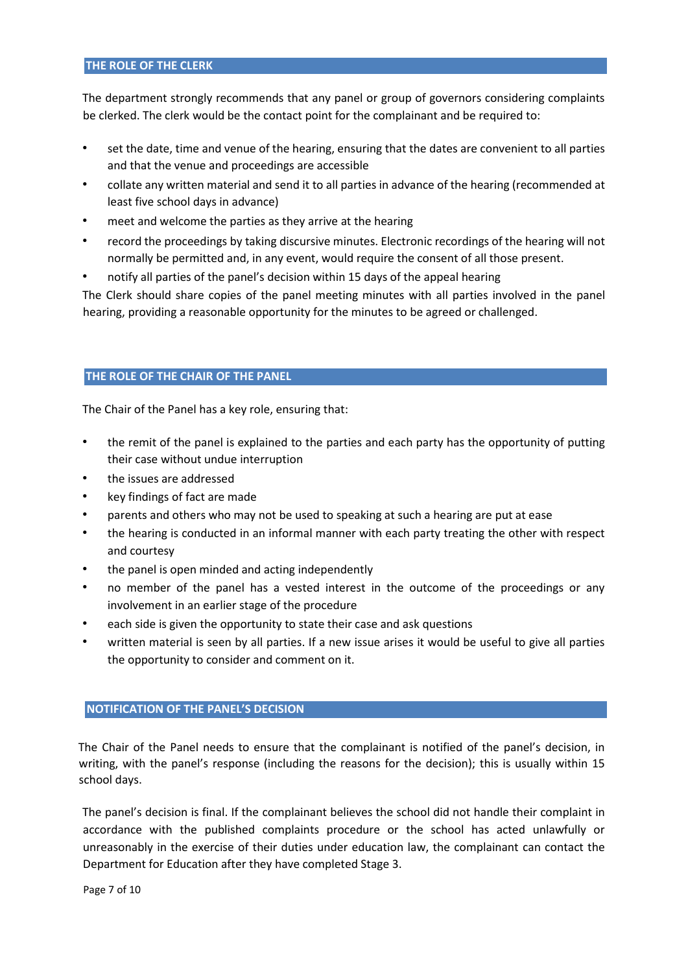#### **THE ROLE OF THE CLERK**

The department strongly recommends that any panel or group of governors considering complaints be clerked. The clerk would be the contact point for the complainant and be required to:

- set the date, time and venue of the hearing, ensuring that the dates are convenient to all parties and that the venue and proceedings are accessible
- collate any written material and send it to all parties in advance of the hearing (recommended at least five school days in advance)
- meet and welcome the parties as they arrive at the hearing
- record the proceedings by taking discursive minutes. Electronic recordings of the hearing will not normally be permitted and, in any event, would require the consent of all those present.
- notify all parties of the panel's decision within 15 days of the appeal hearing

The Clerk should share copies of the panel meeting minutes with all parties involved in the panel hearing, providing a reasonable opportunity for the minutes to be agreed or challenged.

# **THE ROLE OF THE CHAIR OF THE PANEL**

The Chair of the Panel has a key role, ensuring that:

- the remit of the panel is explained to the parties and each party has the opportunity of putting their case without undue interruption
- the issues are addressed
- key findings of fact are made
- parents and others who may not be used to speaking at such a hearing are put at ease
- the hearing is conducted in an informal manner with each party treating the other with respect and courtesy
- the panel is open minded and acting independently
- no member of the panel has a vested interest in the outcome of the proceedings or any involvement in an earlier stage of the procedure
- each side is given the opportunity to state their case and ask questions
- written material is seen by all parties. If a new issue arises it would be useful to give all parties the opportunity to consider and comment on it.

## **NOTIFICATION OF THE PANEL'S DECISION**

The Chair of the Panel needs to ensure that the complainant is notified of the panel's decision, in writing, with the panel's response (including the reasons for the decision); this is usually within 15 school days.

The panel's decision is final. If the complainant believes the school did not handle their complaint in accordance with the published complaints procedure or the school has acted unlawfully or unreasonably in the exercise of their duties under education law, the complainant can contact the Department for Education after they have completed Stage 3.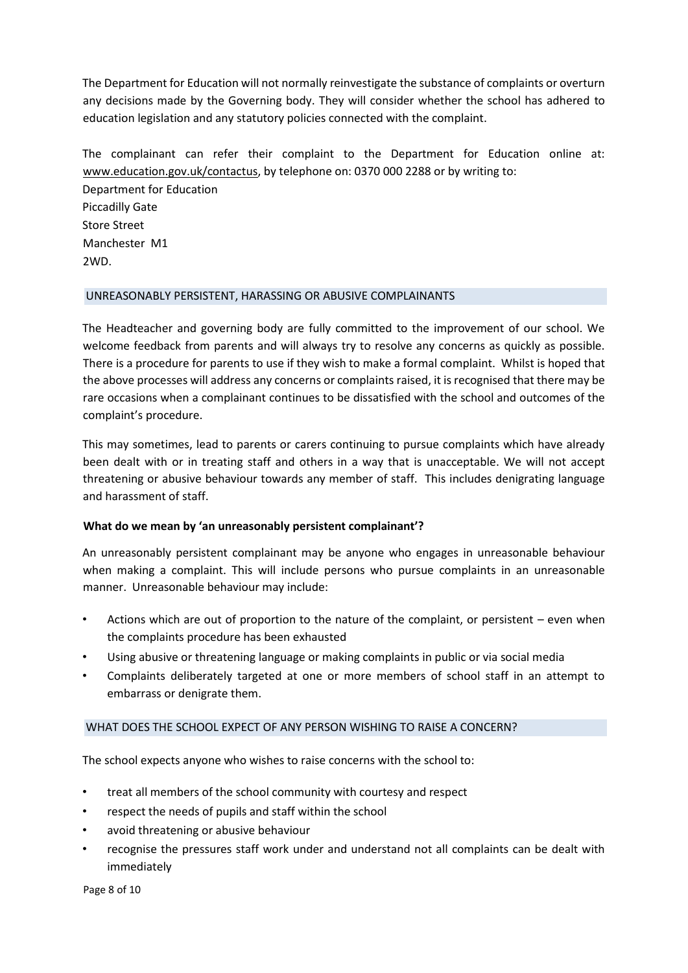The Department for Education will not normally reinvestigate the substance of complaints or overturn any decisions made by the Governing body. They will consider whether the school has adhered to education legislation and any statutory policies connected with the complaint.

The complainant can refer their complaint to the Department for Education online at: [www.education.gov.uk/contactus,](http://www.education.gov.uk/contactus) by telephone on: 0370 000 2288 or by writing to: Department for Education Piccadilly Gate Store Street Manchester M1 2WD.

# UNREASONABLY PERSISTENT, HARASSING OR ABUSIVE COMPLAINANTS

The Headteacher and governing body are fully committed to the improvement of our school. We welcome feedback from parents and will always try to resolve any concerns as quickly as possible. There is a procedure for parents to use if they wish to make a formal complaint. Whilst is hoped that the above processes will address any concerns or complaints raised, it is recognised that there may be rare occasions when a complainant continues to be dissatisfied with the school and outcomes of the complaint's procedure.

This may sometimes, lead to parents or carers continuing to pursue complaints which have already been dealt with or in treating staff and others in a way that is unacceptable. We will not accept threatening or abusive behaviour towards any member of staff. This includes denigrating language and harassment of staff.

# **What do we mean by 'an unreasonably persistent complainant'?**

An unreasonably persistent complainant may be anyone who engages in unreasonable behaviour when making a complaint. This will include persons who pursue complaints in an unreasonable manner. Unreasonable behaviour may include:

- Actions which are out of proportion to the nature of the complaint, or persistent even when the complaints procedure has been exhausted
- Using abusive or threatening language or making complaints in public or via social media
- Complaints deliberately targeted at one or more members of school staff in an attempt to embarrass or denigrate them.

## WHAT DOES THE SCHOOL EXPECT OF ANY PERSON WISHING TO RAISE A CONCERN?

The school expects anyone who wishes to raise concerns with the school to:

- treat all members of the school community with courtesy and respect
- respect the needs of pupils and staff within the school
- avoid threatening or abusive behaviour
- recognise the pressures staff work under and understand not all complaints can be dealt with immediately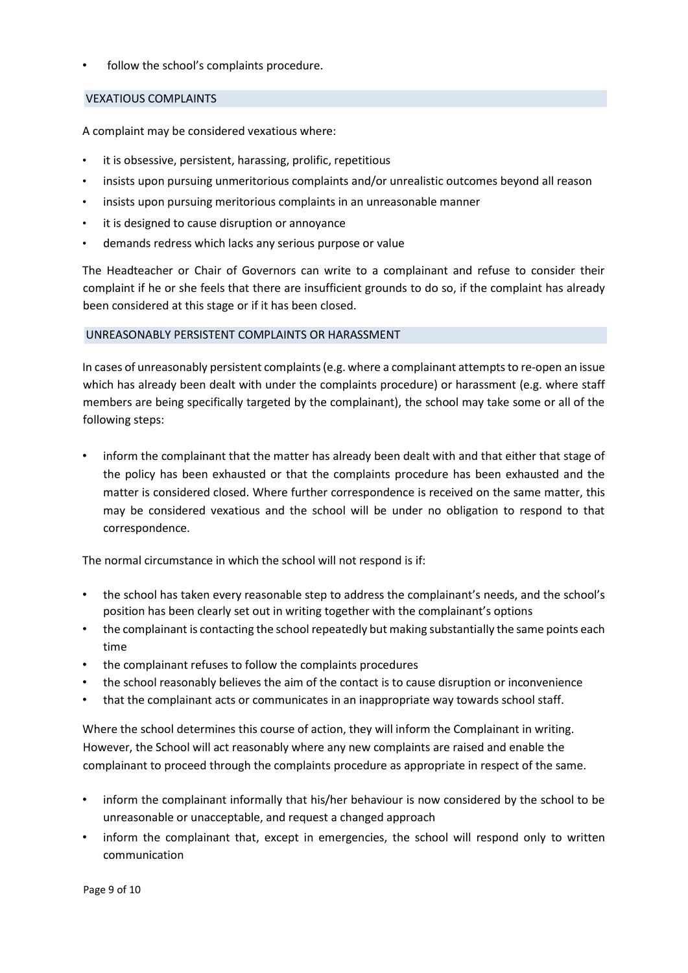follow the school's complaints procedure.

# VEXATIOUS COMPLAINTS

A complaint may be considered vexatious where:

- it is obsessive, persistent, harassing, prolific, repetitious
- insists upon pursuing unmeritorious complaints and/or unrealistic outcomes beyond all reason
- insists upon pursuing meritorious complaints in an unreasonable manner
- it is designed to cause disruption or annoyance
- demands redress which lacks any serious purpose or value

The Headteacher or Chair of Governors can write to a complainant and refuse to consider their complaint if he or she feels that there are insufficient grounds to do so, if the complaint has already been considered at this stage or if it has been closed.

## UNREASONABLY PERSISTENT COMPLAINTS OR HARASSMENT

In cases of unreasonably persistent complaints (e.g. where a complainant attempts to re-open an issue which has already been dealt with under the complaints procedure) or harassment (e.g. where staff members are being specifically targeted by the complainant), the school may take some or all of the following steps:

• inform the complainant that the matter has already been dealt with and that either that stage of the policy has been exhausted or that the complaints procedure has been exhausted and the matter is considered closed. Where further correspondence is received on the same matter, this may be considered vexatious and the school will be under no obligation to respond to that correspondence.

The normal circumstance in which the school will not respond is if:

- the school has taken every reasonable step to address the complainant's needs, and the school's position has been clearly set out in writing together with the complainant's options
- the complainant is contacting the school repeatedly but making substantially the same points each time
- the complainant refuses to follow the complaints procedures
- the school reasonably believes the aim of the contact is to cause disruption or inconvenience
- that the complainant acts or communicates in an inappropriate way towards school staff.

Where the school determines this course of action, they will inform the Complainant in writing. However, the School will act reasonably where any new complaints are raised and enable the complainant to proceed through the complaints procedure as appropriate in respect of the same.

- inform the complainant informally that his/her behaviour is now considered by the school to be unreasonable or unacceptable, and request a changed approach
- inform the complainant that, except in emergencies, the school will respond only to written communication